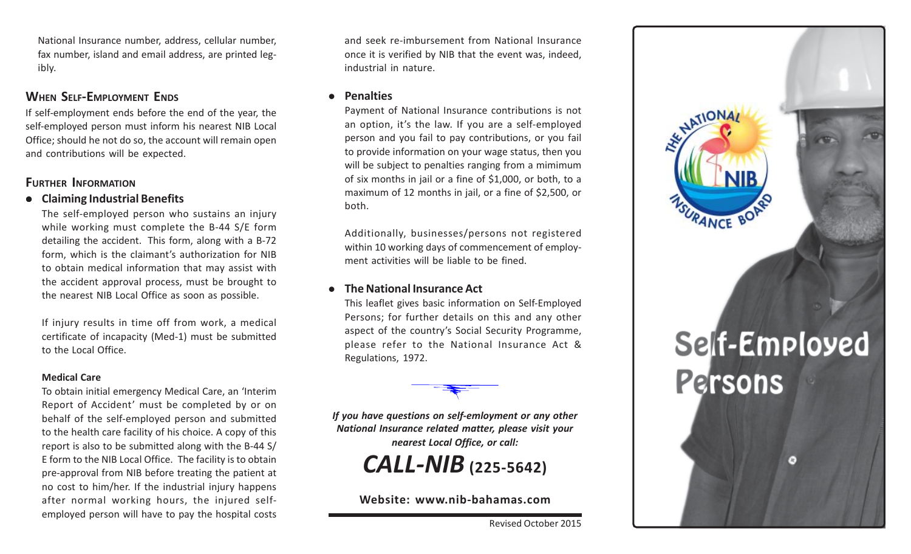National Insurance number, address, cellular number, fax number, island and email address, are printed legibly.

### **WHEN SELF-EMPLOYMENT ENDS**

If self-employment ends before the end of the year, the self-employed person must inform his nearest NIB Local Office; should he not do so, the account will remain open and contributions will be expected.

### **FURTHER INFORMATION**

### <sup>z</sup> **Claiming Industrial Benefits**

The self-employed person who sustains an injury while working must complete the B-44 S/E form detailing the accident. This form, along with a B-72 form, which is the claimant's authorization for NIB to obtain medical information that may assist with the accident approval process, must be brought to the nearest NIB Local Office as soon as possible.

If injury results in time off from work, a medical certificate of incapacity (Med-1) must be submitted to the Local Office.

#### **Medical Care**

To obtain initial emergency Medical Care, an 'Interim Report of Accident' must be completed by or on behalf of the self-employed person and submitted to the health care facility of his choice. A copy of this report is also to be submitted along with the B-44 S/ E form to the NIB Local Office. The facility is to obtain pre-approval from NIB before treating the patient at no cost to him/her. If the industrial injury happens after normal working hours, the injured selfemployed person will have to pay the hospital costs

and seek re-imbursement from National Insurance once it is verified by NIB that the event was, indeed, industrial in nature.

#### $\bullet$  Penalties

Payment of National Insurance contributions is not an option, it's the law. If you are a self-employed person and you fail to pay contributions, or you fail to provide information on your wage status, then you will be subject to penalties ranging from a mimimum of six months in jail or a fine of \$1,000, or both, to a maximum of 12 months in jail, or a fine of \$2,500, or both.

Additionally, businesses/persons not registered within 10 working days of commencement of employment activities will be liable to be fined.

#### **The National Insurance Act**

This leaflet gives basic information on Self-Employed Persons; for further details on this and any other aspect of the country's Social Security Programme, please refer to the National Insurance Act & Regulations, 1972.

*If you have questions on self-emloyment or any other National Insurance related matter, please visit your nearest Local Office, or call:*

*CALL-NIB* **(225-5642)**

**Website: www.nib-bahamas.com**